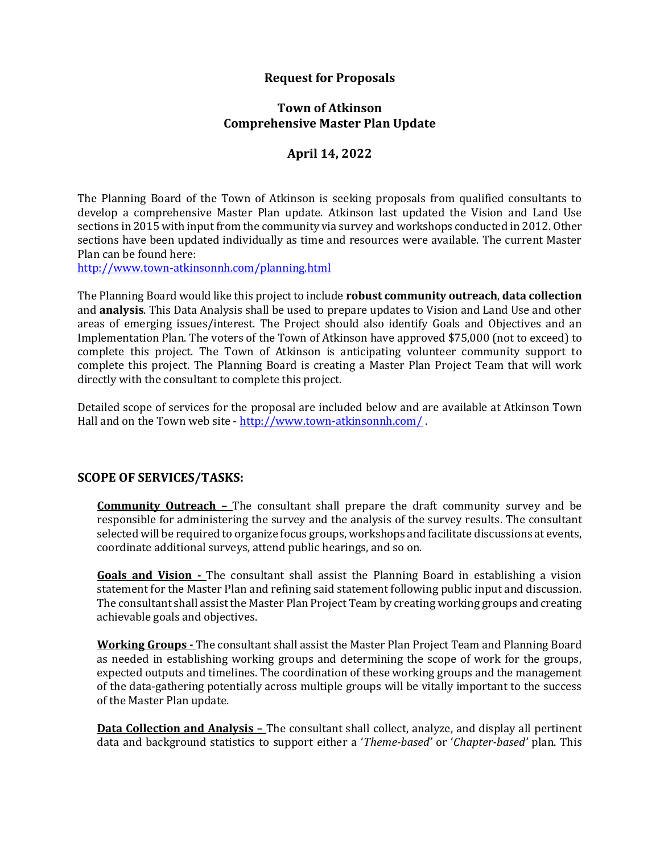## **Request for Proposals**

### **Town of Atkinson Comprehensive Master Plan Update**

# **April 14, 2022**

The Planning Board of the Town of Atkinson is seeking proposals from qualified consultants to develop a comprehensive Master Plan update. Atkinson last updated the Vision and Land Use sections in 2015 with input from the community via survey and workshops conducted in 2012. Other sections have been updated individually as time and resources were available. The current Master Plan can be found here:

<http://www.town-atkinsonnh.com/planning.html>

The Planning Board would like this project to include **robust community outreach**, **data collection** and **analysis**. This Data Analysis shall be used to prepare updates to Vision and Land Use and other areas of emerging issues/interest. The Project should also identify Goals and Objectives and an Implementation Plan. The voters of the Town of Atkinson have approved \$75,000 (not to exceed) to complete this project. The Town of Atkinson is anticipating volunteer community support to complete this project. The Planning Board is creating a Master Plan Project Team that will work directly with the consultant to complete this project.

Detailed scope of services for the proposal are included below and are available at Atkinson Town Hall and on the Town web site - <http://www.town-atkinsonnh.com/>.

### **SCOPE OF SERVICES/TASKS:**

**Community Outreach –** The consultant shall prepare the draft community survey and be responsible for administering the survey and the analysis of the survey results. The consultant selected will be required to organize focus groups, workshops and facilitate discussions at events, coordinate additional surveys, attend public hearings, and so on.

**Goals and Vision -** The consultant shall assist the Planning Board in establishing a vision statement for the Master Plan and refining said statement following public input and discussion. The consultant shall assist the Master Plan Project Team by creating working groups and creating achievable goals and objectives.

**Working Groups -** The consultant shall assist the Master Plan Project Team and Planning Board as needed in establishing working groups and determining the scope of work for the groups, expected outputs and timelines. The coordination of these working groups and the management of the data-gathering potentially across multiple groups will be vitally important to the success of the Master Plan update.

**Data Collection and Analysis – The consultant shall collect, analyze, and display all pertinent** data and background statistics to support either a '*Theme-based'* or '*Chapter-based'* plan. This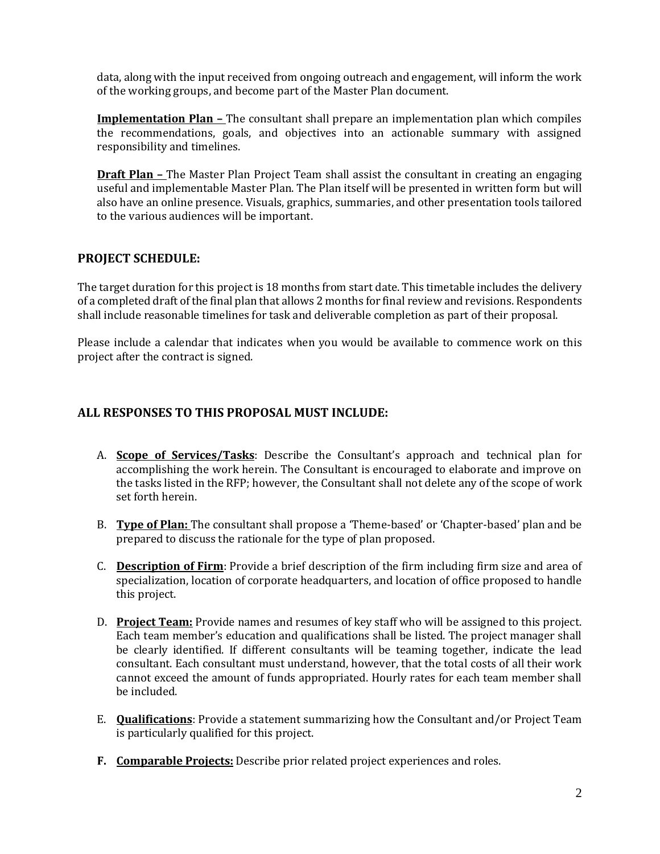data, along with the input received from ongoing outreach and engagement, will inform the work of the working groups, and become part of the Master Plan document.

**Implementation Plan –** The consultant shall prepare an implementation plan which compiles the recommendations, goals, and objectives into an actionable summary with assigned responsibility and timelines.

**Draft Plan –** The Master Plan Project Team shall assist the consultant in creating an engaging useful and implementable Master Plan. The Plan itself will be presented in written form but will also have an online presence. Visuals, graphics, summaries, and other presentation tools tailored to the various audiences will be important.

# **PROJECT SCHEDULE:**

The target duration for this project is 18 months from start date. This timetable includes the delivery of a completed draft of the final plan that allows 2 months for final review and revisions. Respondents shall include reasonable timelines for task and deliverable completion as part of their proposal.

Please include a calendar that indicates when you would be available to commence work on this project after the contract is signed.

### **ALL RESPONSES TO THIS PROPOSAL MUST INCLUDE:**

- A. **Scope of Services/Tasks**: Describe the Consultant's approach and technical plan for accomplishing the work herein. The Consultant is encouraged to elaborate and improve on the tasks listed in the RFP; however, the Consultant shall not delete any of the scope of work set forth herein.
- B. **Type of Plan:** The consultant shall propose a 'Theme-based' or 'Chapter-based' plan and be prepared to discuss the rationale for the type of plan proposed.
- C. **Description of Firm**: Provide a brief description of the firm including firm size and area of specialization, location of corporate headquarters, and location of office proposed to handle this project.
- D. **Project Team:** Provide names and resumes of key staff who will be assigned to this project. Each team member's education and qualifications shall be listed. The project manager shall be clearly identified. If different consultants will be teaming together, indicate the lead consultant. Each consultant must understand, however, that the total costs of all their work cannot exceed the amount of funds appropriated. Hourly rates for each team member shall be included.
- E. **Qualifications**: Provide a statement summarizing how the Consultant and/or Project Team is particularly qualified for this project.
- **F. Comparable Projects:** Describe prior related project experiences and roles.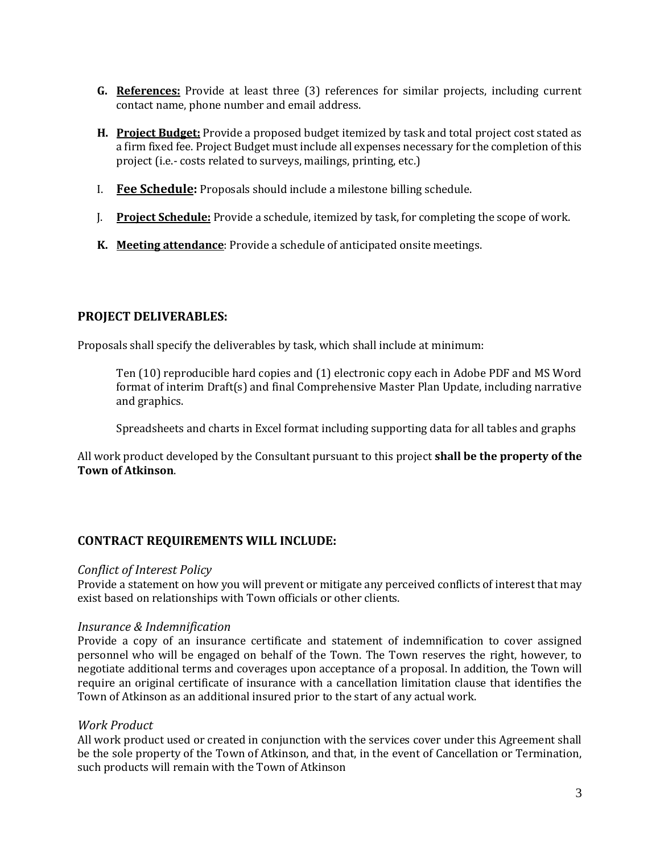- **G. References:** Provide at least three (3) references for similar projects, including current contact name, phone number and email address.
- **H. Project Budget:** Provide a proposed budget itemized by task and total project cost stated as a firm fixed fee. Project Budget must include all expenses necessary for the completion of this project (i.e.- costs related to surveys, mailings, printing, etc.)
- I. **Fee Schedule:** Proposals should include a milestone billing schedule.
- J. **Project Schedule:** Provide a schedule, itemized by task, for completing the scope of work.
- **K. Meeting attendance**: Provide a schedule of anticipated onsite meetings.

### **PROJECT DELIVERABLES:**

Proposals shall specify the deliverables by task, which shall include at minimum:

Ten (10) reproducible hard copies and (1) electronic copy each in Adobe PDF and MS Word format of interim Draft(s) and final Comprehensive Master Plan Update, including narrative and graphics.

Spreadsheets and charts in Excel format including supporting data for all tables and graphs

All work product developed by the Consultant pursuant to this project **shall be the property of the Town of Atkinson**.

# **CONTRACT REQUIREMENTS WILL INCLUDE:**

### *Conflict of Interest Policy*

Provide a statement on how you will prevent or mitigate any perceived conflicts of interest that may exist based on relationships with Town officials or other clients.

### *Insurance & Indemnification*

Provide a copy of an insurance certificate and statement of indemnification to cover assigned personnel who will be engaged on behalf of the Town. The Town reserves the right, however, to negotiate additional terms and coverages upon acceptance of a proposal. In addition, the Town will require an original certificate of insurance with a cancellation limitation clause that identifies the Town of Atkinson as an additional insured prior to the start of any actual work.

### *Work Product*

All work product used or created in conjunction with the services cover under this Agreement shall be the sole property of the Town of Atkinson, and that, in the event of Cancellation or Termination, such products will remain with the Town of Atkinson